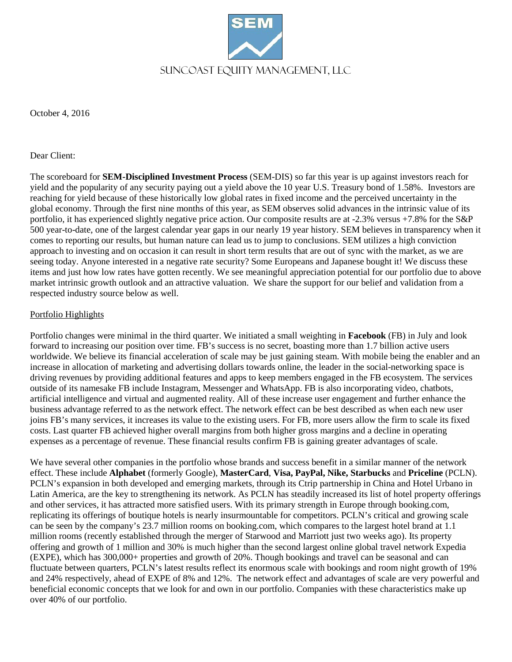

October 4, 2016

## Dear Client:

The scoreboard for **SEM-Disciplined Investment Process** (SEM-DIS) so far this year is up against investors reach for yield and the popularity of any security paying out a yield above the 10 year U.S. Treasury bond of 1.58%. Investors are reaching for yield because of these historically low global rates in fixed income and the perceived uncertainty in the global economy. Through the first nine months of this year, as SEM observes solid advances in the intrinsic value of its portfolio, it has experienced slightly negative price action. Our composite results are at -2.3% versus +7.8% for the S&P 500 year-to-date, one of the largest calendar year gaps in our nearly 19 year history. SEM believes in transparency when it comes to reporting our results, but human nature can lead us to jump to conclusions. SEM utilizes a high conviction approach to investing and on occasion it can result in short term results that are out of sync with the market, as we are seeing today. Anyone interested in a negative rate security? Some Europeans and Japanese bought it! We discuss these items and just how low rates have gotten recently. We see meaningful appreciation potential for our portfolio due to above market intrinsic growth outlook and an attractive valuation. We share the support for our belief and validation from a respected industry source below as well.

## Portfolio Highlights

Portfolio changes were minimal in the third quarter. We initiated a small weighting in **Facebook** (FB) in July and look forward to increasing our position over time. FB's success is no secret, boasting more than 1.7 billion active users worldwide. We believe its financial acceleration of scale may be just gaining steam. With mobile being the enabler and an increase in allocation of marketing and advertising dollars towards online, the leader in the social-networking space is driving revenues by providing additional features and apps to keep members engaged in the FB ecosystem. The services outside of its namesake FB include Instagram, Messenger and WhatsApp. FB is also incorporating video, chatbots, artificial intelligence and virtual and augmented reality. All of these increase user engagement and further enhance the business advantage referred to as the network effect. The network effect can be best described as when each new user joins FB's many services, it increases its value to the existing users. For FB, more users allow the firm to scale its fixed costs. Last quarter FB achieved higher overall margins from both higher gross margins and a decline in operating expenses as a percentage of revenue. These financial results confirm FB is gaining greater advantages of scale.

We have several other companies in the portfolio whose brands and success benefit in a similar manner of the network effect. These include **Alphabet** (formerly Google), **MasterCard**, **Visa, PayPal, Nike, Starbucks** and **Priceline** (PCLN). PCLN's expansion in both developed and emerging markets, through its Ctrip partnership in China and Hotel Urbano in Latin America, are the key to strengthening its network. As PCLN has steadily increased its list of hotel property offerings and other services, it has attracted more satisfied users. With its primary strength in Europe through booking.com, replicating its offerings of boutique hotels is nearly insurmountable for competitors. PCLN's critical and growing scale can be seen by the company's 23.7 million rooms on booking.com, which compares to the largest hotel brand at 1.1 million rooms (recently established through the merger of Starwood and Marriott just two weeks ago). Its property offering and growth of 1 million and 30% is much higher than the second largest online global travel network Expedia (EXPE), which has 300,000+ properties and growth of 20%. Though bookings and travel can be seasonal and can fluctuate between quarters, PCLN's latest results reflect its enormous scale with bookings and room night growth of 19% and 24% respectively, ahead of EXPE of 8% and 12%. The network effect and advantages of scale are very powerful and beneficial economic concepts that we look for and own in our portfolio. Companies with these characteristics make up over 40% of our portfolio.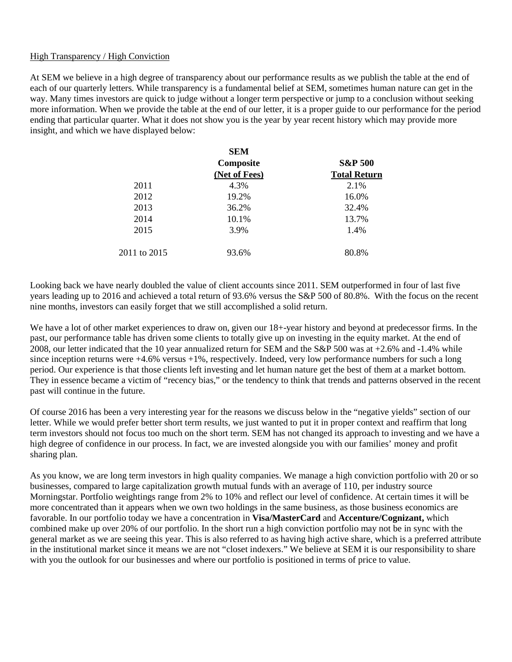## High Transparency / High Conviction

At SEM we believe in a high degree of transparency about our performance results as we publish the table at the end of each of our quarterly letters. While transparency is a fundamental belief at SEM, sometimes human nature can get in the way. Many times investors are quick to judge without a longer term perspective or jump to a conclusion without seeking more information. When we provide the table at the end of our letter, it is a proper guide to our performance for the period ending that particular quarter. What it does not show you is the year by year recent history which may provide more insight, and which we have displayed below:

|              | <b>SEM</b>    |                     |  |  |
|--------------|---------------|---------------------|--|--|
|              | Composite     | <b>S&amp;P 500</b>  |  |  |
|              | (Net of Fees) | <b>Total Return</b> |  |  |
| 2011         | 4.3%          | 2.1%                |  |  |
| 2012         | 19.2%         | 16.0%               |  |  |
| 2013         | 36.2%         | 32.4%               |  |  |
| 2014         | 10.1%         | 13.7%               |  |  |
| 2015         | 3.9%          | 1.4%                |  |  |
| 2011 to 2015 | 93.6%         | 80.8%               |  |  |

Looking back we have nearly doubled the value of client accounts since 2011. SEM outperformed in four of last five years leading up to 2016 and achieved a total return of 93.6% versus the S&P 500 of 80.8%. With the focus on the recent nine months, investors can easily forget that we still accomplished a solid return.

We have a lot of other market experiences to draw on, given our 18+-year history and beyond at predecessor firms. In the past, our performance table has driven some clients to totally give up on investing in the equity market. At the end of 2008, our letter indicated that the 10 year annualized return for SEM and the S&P 500 was at +2.6% and -1.4% while since inception returns were  $+4.6\%$  versus  $+1\%$ , respectively. Indeed, very low performance numbers for such a long period. Our experience is that those clients left investing and let human nature get the best of them at a market bottom. They in essence became a victim of "recency bias," or the tendency to think that trends and patterns observed in the recent past will continue in the future.

Of course 2016 has been a very interesting year for the reasons we discuss below in the "negative yields" section of our letter. While we would prefer better short term results, we just wanted to put it in proper context and reaffirm that long term investors should not focus too much on the short term. SEM has not changed its approach to investing and we have a high degree of confidence in our process. In fact, we are invested alongside you with our families' money and profit sharing plan.

As you know, we are long term investors in high quality companies. We manage a high conviction portfolio with 20 or so businesses, compared to large capitalization growth mutual funds with an average of 110, per industry source Morningstar. Portfolio weightings range from 2% to 10% and reflect our level of confidence. At certain times it will be more concentrated than it appears when we own two holdings in the same business, as those business economics are favorable. In our portfolio today we have a concentration in **Visa/MasterCard** and **Accenture/Cognizant,** which combined make up over 20% of our portfolio. In the short run a high conviction portfolio may not be in sync with the general market as we are seeing this year. This is also referred to as having high active share, which is a preferred attribute in the institutional market since it means we are not "closet indexers." We believe at SEM it is our responsibility to share with you the outlook for our businesses and where our portfolio is positioned in terms of price to value.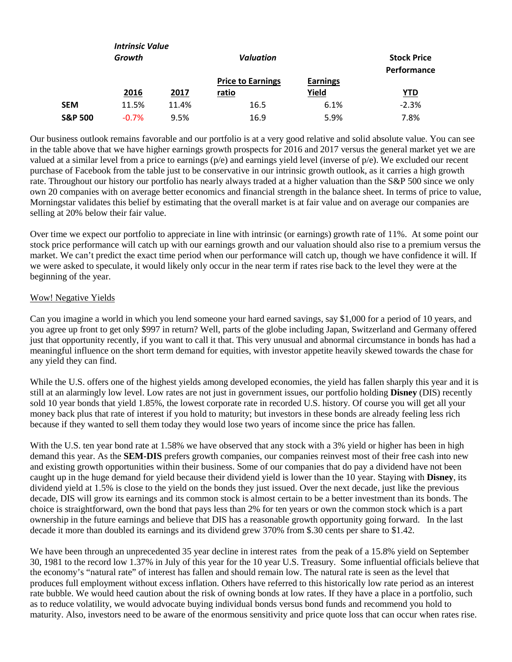|                    | <b>Intrinsic Value</b><br>Growth |               | <b>Valuation</b>         |                          | <b>Stock Price</b><br>Performance |
|--------------------|----------------------------------|---------------|--------------------------|--------------------------|-----------------------------------|
|                    | 2016                             | 2017<br>ratio | <b>Price to Earnings</b> | <b>Earnings</b><br>Yield | <u>YTD</u>                        |
| <b>SEM</b>         | 11.5%                            | 11.4%         | 16.5                     | 6.1%                     | $-2.3%$                           |
| <b>S&amp;P 500</b> | $-0.7%$                          | 9.5%          | 16.9                     | 5.9%                     | 7.8%                              |

Our business outlook remains favorable and our portfolio is at a very good relative and solid absolute value. You can see in the table above that we have higher earnings growth prospects for 2016 and 2017 versus the general market yet we are valued at a similar level from a price to earnings (p/e) and earnings yield level (inverse of p/e). We excluded our recent purchase of Facebook from the table just to be conservative in our intrinsic growth outlook, as it carries a high growth rate. Throughout our history our portfolio has nearly always traded at a higher valuation than the S&P 500 since we only own 20 companies with on average better economics and financial strength in the balance sheet. In terms of price to value, Morningstar validates this belief by estimating that the overall market is at fair value and on average our companies are selling at 20% below their fair value.

Over time we expect our portfolio to appreciate in line with intrinsic (or earnings) growth rate of 11%. At some point our stock price performance will catch up with our earnings growth and our valuation should also rise to a premium versus the market. We can't predict the exact time period when our performance will catch up, though we have confidence it will. If we were asked to speculate, it would likely only occur in the near term if rates rise back to the level they were at the beginning of the year.

## Wow! Negative Yields

Can you imagine a world in which you lend someone your hard earned savings, say \$1,000 for a period of 10 years, and you agree up front to get only \$997 in return? Well, parts of the globe including Japan, Switzerland and Germany offered just that opportunity recently, if you want to call it that. This very unusual and abnormal circumstance in bonds has had a meaningful influence on the short term demand for equities, with investor appetite heavily skewed towards the chase for any yield they can find.

While the U.S. offers one of the highest yields among developed economies, the yield has fallen sharply this year and it is still at an alarmingly low level. Low rates are not just in government issues, our portfolio holding **Disney** (DIS) recently sold 10 year bonds that yield 1.85%, the lowest corporate rate in recorded U.S. history. Of course you will get all your money back plus that rate of interest if you hold to maturity; but investors in these bonds are already feeling less rich because if they wanted to sell them today they would lose two years of income since the price has fallen.

With the U.S. ten year bond rate at 1.58% we have observed that any stock with a 3% yield or higher has been in high demand this year. As the **SEM-DIS** prefers growth companies, our companies reinvest most of their free cash into new and existing growth opportunities within their business. Some of our companies that do pay a dividend have not been caught up in the huge demand for yield because their dividend yield is lower than the 10 year. Staying with **Disney**, its dividend yield at 1.5% is close to the yield on the bonds they just issued. Over the next decade, just like the previous decade, DIS will grow its earnings and its common stock is almost certain to be a better investment than its bonds. The choice is straightforward, own the bond that pays less than 2% for ten years or own the common stock which is a part ownership in the future earnings and believe that DIS has a reasonable growth opportunity going forward. In the last decade it more than doubled its earnings and its dividend grew 370% from \$.30 cents per share to \$1.42.

We have been through an unprecedented 35 year decline in interest rates from the peak of a 15.8% yield on September 30, 1981 to the record low 1.37% in July of this year for the 10 year U.S. Treasury. Some influential officials believe that the economy's "natural rate" of interest has fallen and should remain low. The natural rate is seen as the level that produces full employment without excess inflation. Others have referred to this historically low rate period as an interest rate bubble. We would heed caution about the risk of owning bonds at low rates. If they have a place in a portfolio, such as to reduce volatility, we would advocate buying individual bonds versus bond funds and recommend you hold to maturity. Also, investors need to be aware of the enormous sensitivity and price quote loss that can occur when rates rise.